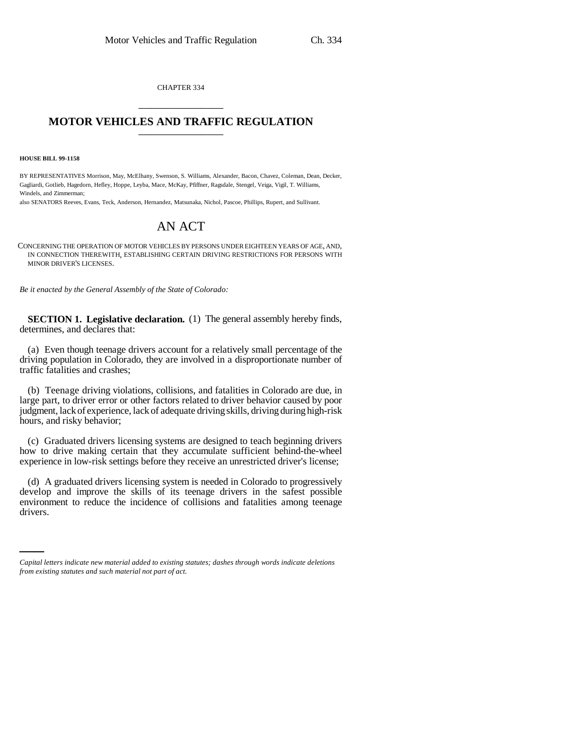CHAPTER 334 \_\_\_\_\_\_\_\_\_\_\_\_\_\_\_

## **MOTOR VEHICLES AND TRAFFIC REGULATION** \_\_\_\_\_\_\_\_\_\_\_\_\_\_\_

**HOUSE BILL 99-1158** 

BY REPRESENTATIVES Morrison, May, McElhany, Swenson, S. Williams, Alexander, Bacon, Chavez, Coleman, Dean, Decker, Gagliardi, Gotlieb, Hagedorn, Hefley, Hoppe, Leyba, Mace, McKay, Pfiffner, Ragsdale, Stengel, Veiga, Vigil, T. Williams, Windels, and Zimmerman;

also SENATORS Reeves, Evans, Teck, Anderson, Hernandez, Matsunaka, Nichol, Pascoe, Phillips, Rupert, and Sullivant.

## AN ACT

CONCERNING THE OPERATION OF MOTOR VEHICLES BY PERSONS UNDER EIGHTEEN YEARS OF AGE, AND, IN CONNECTION THEREWITH, ESTABLISHING CERTAIN DRIVING RESTRICTIONS FOR PERSONS WITH MINOR DRIVER'S LICENSES.

*Be it enacted by the General Assembly of the State of Colorado:*

**SECTION 1. Legislative declaration.** (1) The general assembly hereby finds, determines, and declares that:

(a) Even though teenage drivers account for a relatively small percentage of the driving population in Colorado, they are involved in a disproportionate number of traffic fatalities and crashes;

(b) Teenage driving violations, collisions, and fatalities in Colorado are due, in large part, to driver error or other factors related to driver behavior caused by poor judgment, lack of experience, lack of adequate driving skills, driving during high-risk hours, and risky behavior;

(c) Graduated drivers licensing systems are designed to teach beginning drivers how to drive making certain that they accumulate sufficient behind-the-wheel experience in low-risk settings before they receive an unrestricted driver's license;

environment to reduce the incidence of collisions and fatalities among teenage (d) A graduated drivers licensing system is needed in Colorado to progressively develop and improve the skills of its teenage drivers in the safest possible drivers.

*Capital letters indicate new material added to existing statutes; dashes through words indicate deletions from existing statutes and such material not part of act.*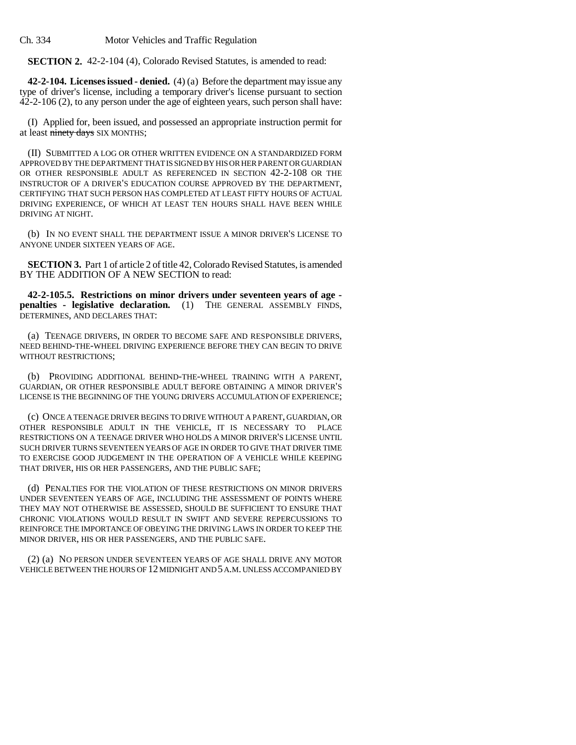Ch. 334 Motor Vehicles and Traffic Regulation

**SECTION 2.** 42-2-104 (4), Colorado Revised Statutes, is amended to read:

**42-2-104. Licenses issued - denied.** (4) (a) Before the department may issue any type of driver's license, including a temporary driver's license pursuant to section 42-2-106 (2), to any person under the age of eighteen years, such person shall have:

(I) Applied for, been issued, and possessed an appropriate instruction permit for at least ninety days SIX MONTHS;

(II) SUBMITTED A LOG OR OTHER WRITTEN EVIDENCE ON A STANDARDIZED FORM APPROVED BY THE DEPARTMENT THAT IS SIGNED BY HIS OR HER PARENT OR GUARDIAN OR OTHER RESPONSIBLE ADULT AS REFERENCED IN SECTION 42-2-108 OR THE INSTRUCTOR OF A DRIVER'S EDUCATION COURSE APPROVED BY THE DEPARTMENT, CERTIFYING THAT SUCH PERSON HAS COMPLETED AT LEAST FIFTY HOURS OF ACTUAL DRIVING EXPERIENCE, OF WHICH AT LEAST TEN HOURS SHALL HAVE BEEN WHILE DRIVING AT NIGHT.

(b) IN NO EVENT SHALL THE DEPARTMENT ISSUE A MINOR DRIVER'S LICENSE TO ANYONE UNDER SIXTEEN YEARS OF AGE.

**SECTION 3.** Part 1 of article 2 of title 42, Colorado Revised Statutes, is amended BY THE ADDITION OF A NEW SECTION to read:

**42-2-105.5. Restrictions on minor drivers under seventeen years of age penalties - legislative declaration.** (1) THE GENERAL ASSEMBLY FINDS, DETERMINES, AND DECLARES THAT:

(a) TEENAGE DRIVERS, IN ORDER TO BECOME SAFE AND RESPONSIBLE DRIVERS, NEED BEHIND-THE-WHEEL DRIVING EXPERIENCE BEFORE THEY CAN BEGIN TO DRIVE WITHOUT RESTRICTIONS;

(b) PROVIDING ADDITIONAL BEHIND-THE-WHEEL TRAINING WITH A PARENT, GUARDIAN, OR OTHER RESPONSIBLE ADULT BEFORE OBTAINING A MINOR DRIVER'S LICENSE IS THE BEGINNING OF THE YOUNG DRIVERS ACCUMULATION OF EXPERIENCE;

(c) ONCE A TEENAGE DRIVER BEGINS TO DRIVE WITHOUT A PARENT, GUARDIAN, OR OTHER RESPONSIBLE ADULT IN THE VEHICLE, IT IS NECESSARY TO PLACE RESTRICTIONS ON A TEENAGE DRIVER WHO HOLDS A MINOR DRIVER'S LICENSE UNTIL SUCH DRIVER TURNS SEVENTEEN YEARS OF AGE IN ORDER TO GIVE THAT DRIVER TIME TO EXERCISE GOOD JUDGEMENT IN THE OPERATION OF A VEHICLE WHILE KEEPING THAT DRIVER, HIS OR HER PASSENGERS, AND THE PUBLIC SAFE;

(d) PENALTIES FOR THE VIOLATION OF THESE RESTRICTIONS ON MINOR DRIVERS UNDER SEVENTEEN YEARS OF AGE, INCLUDING THE ASSESSMENT OF POINTS WHERE THEY MAY NOT OTHERWISE BE ASSESSED, SHOULD BE SUFFICIENT TO ENSURE THAT CHRONIC VIOLATIONS WOULD RESULT IN SWIFT AND SEVERE REPERCUSSIONS TO REINFORCE THE IMPORTANCE OF OBEYING THE DRIVING LAWS IN ORDER TO KEEP THE MINOR DRIVER, HIS OR HER PASSENGERS, AND THE PUBLIC SAFE.

(2) (a) NO PERSON UNDER SEVENTEEN YEARS OF AGE SHALL DRIVE ANY MOTOR VEHICLE BETWEEN THE HOURS OF 12 MIDNIGHT AND 5 A.M. UNLESS ACCOMPANIED BY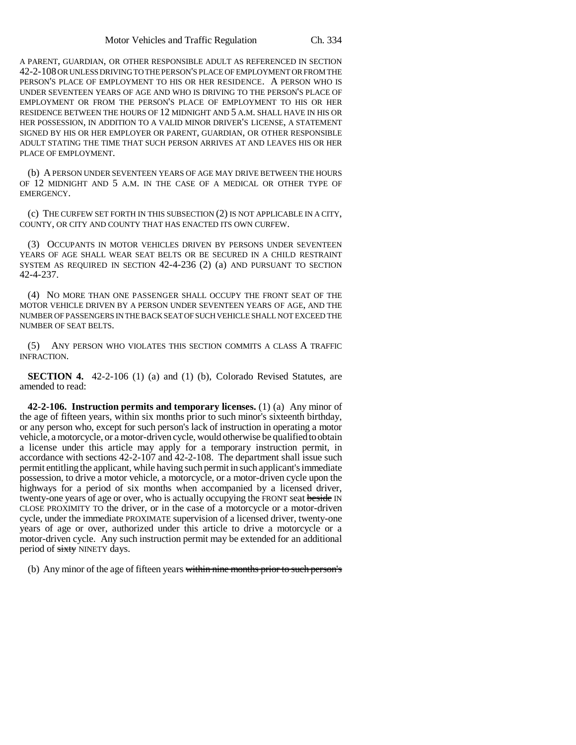A PARENT, GUARDIAN, OR OTHER RESPONSIBLE ADULT AS REFERENCED IN SECTION 42-2-108 OR UNLESS DRIVING TO THE PERSON'S PLACE OF EMPLOYMENT OR FROM THE PERSON'S PLACE OF EMPLOYMENT TO HIS OR HER RESIDENCE. A PERSON WHO IS UNDER SEVENTEEN YEARS OF AGE AND WHO IS DRIVING TO THE PERSON'S PLACE OF EMPLOYMENT OR FROM THE PERSON'S PLACE OF EMPLOYMENT TO HIS OR HER RESIDENCE BETWEEN THE HOURS OF 12 MIDNIGHT AND 5 A.M. SHALL HAVE IN HIS OR HER POSSESSION, IN ADDITION TO A VALID MINOR DRIVER'S LICENSE, A STATEMENT SIGNED BY HIS OR HER EMPLOYER OR PARENT, GUARDIAN, OR OTHER RESPONSIBLE ADULT STATING THE TIME THAT SUCH PERSON ARRIVES AT AND LEAVES HIS OR HER PLACE OF EMPLOYMENT.

(b) A PERSON UNDER SEVENTEEN YEARS OF AGE MAY DRIVE BETWEEN THE HOURS OF 12 MIDNIGHT AND 5 A.M. IN THE CASE OF A MEDICAL OR OTHER TYPE OF EMERGENCY.

(c) THE CURFEW SET FORTH IN THIS SUBSECTION (2) IS NOT APPLICABLE IN A CITY, COUNTY, OR CITY AND COUNTY THAT HAS ENACTED ITS OWN CURFEW.

(3) OCCUPANTS IN MOTOR VEHICLES DRIVEN BY PERSONS UNDER SEVENTEEN YEARS OF AGE SHALL WEAR SEAT BELTS OR BE SECURED IN A CHILD RESTRAINT SYSTEM AS REQUIRED IN SECTION 42-4-236 (2) (a) AND PURSUANT TO SECTION 42-4-237.

(4) NO MORE THAN ONE PASSENGER SHALL OCCUPY THE FRONT SEAT OF THE MOTOR VEHICLE DRIVEN BY A PERSON UNDER SEVENTEEN YEARS OF AGE, AND THE NUMBER OF PASSENGERS IN THE BACK SEAT OF SUCH VEHICLE SHALL NOT EXCEED THE NUMBER OF SEAT BELTS.

(5) ANY PERSON WHO VIOLATES THIS SECTION COMMITS A CLASS A TRAFFIC INFRACTION.

**SECTION 4.** 42-2-106 (1) (a) and (1) (b), Colorado Revised Statutes, are amended to read:

**42-2-106. Instruction permits and temporary licenses.** (1) (a) Any minor of the age of fifteen years, within six months prior to such minor's sixteenth birthday, or any person who, except for such person's lack of instruction in operating a motor vehicle, a motorcycle, or a motor-driven cycle, would otherwise be qualified to obtain a license under this article may apply for a temporary instruction permit, in accordance with sections 42-2-107 and 42-2-108. The department shall issue such permit entitling the applicant, while having such permit in such applicant's immediate possession, to drive a motor vehicle, a motorcycle, or a motor-driven cycle upon the highways for a period of six months when accompanied by a licensed driver, twenty-one years of age or over, who is actually occupying the FRONT seat beside IN CLOSE PROXIMITY TO the driver, or in the case of a motorcycle or a motor-driven cycle, under the immediate PROXIMATE supervision of a licensed driver, twenty-one years of age or over, authorized under this article to drive a motorcycle or a motor-driven cycle. Any such instruction permit may be extended for an additional period of sixty NINETY days.

(b) Any minor of the age of fifteen years within nine months prior to such person's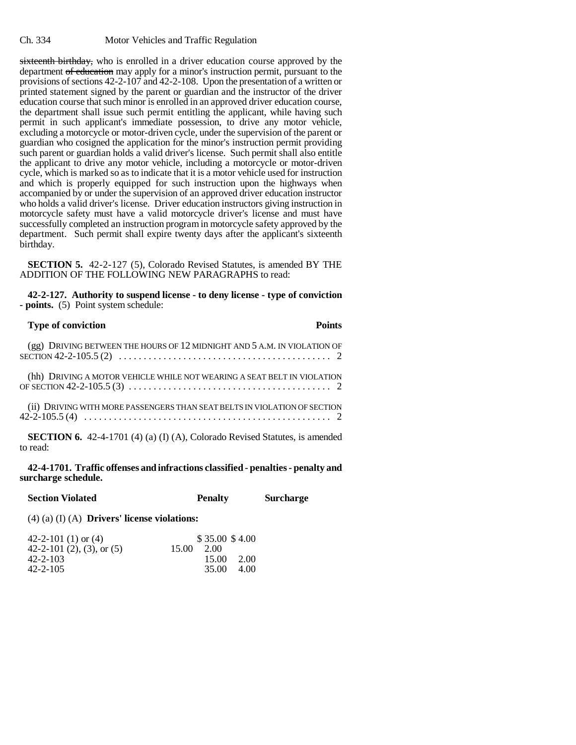sixteenth birthday, who is enrolled in a driver education course approved by the department of education may apply for a minor's instruction permit, pursuant to the provisions of sections 42-2-107 and 42-2-108. Upon the presentation of a written or printed statement signed by the parent or guardian and the instructor of the driver education course that such minor is enrolled in an approved driver education course, the department shall issue such permit entitling the applicant, while having such permit in such applicant's immediate possession, to drive any motor vehicle, excluding a motorcycle or motor-driven cycle, under the supervision of the parent or guardian who cosigned the application for the minor's instruction permit providing such parent or guardian holds a valid driver's license. Such permit shall also entitle the applicant to drive any motor vehicle, including a motorcycle or motor-driven cycle, which is marked so as to indicate that it is a motor vehicle used for instruction and which is properly equipped for such instruction upon the highways when accompanied by or under the supervision of an approved driver education instructor who holds a valid driver's license. Driver education instructors giving instruction in motorcycle safety must have a valid motorcycle driver's license and must have successfully completed an instruction program in motorcycle safety approved by the department. Such permit shall expire twenty days after the applicant's sixteenth birthday.

**SECTION 5.** 42-2-127 (5), Colorado Revised Statutes, is amended BY THE ADDITION OF THE FOLLOWING NEW PARAGRAPHS to read:

**42-2-127. Authority to suspend license - to deny license - type of conviction - points.** (5) Point system schedule:

| <b>Type of conviction</b>                                                               | Points |
|-----------------------------------------------------------------------------------------|--------|
|                                                                                         |        |
| (hh) DRIVING A MOTOR VEHICLE WHILE NOT WEARING A SEAT BELT IN VIOLATION                 |        |
| (ii) DRIVING WITH MORE PASSENGERS THAN SEAT BELTS IN VIOLATION OF SECTION               |        |
| SECTION 6. 42-4-1701 (4) (a) (I) (A), Colorado Revised Statutes, is amended<br>to read: |        |

**42-4-1701. Traffic offenses and infractions classified - penalties - penalty and surcharge schedule.**

**Section Violated Penalty Surcharge** 

(4) (a) (I) (A) **Drivers' license violations:**

| 42-2-101 (1) or (4)               |       | \$35.00\$34.00 |      |
|-----------------------------------|-------|----------------|------|
| 42-2-101 $(2)$ , $(3)$ , or $(5)$ | 15.00 | 2.00           |      |
| $42 - 2 - 103$                    |       | 15.00          | 2.00 |
| $42 - 2 - 105$                    |       | 35.00          | 4.00 |